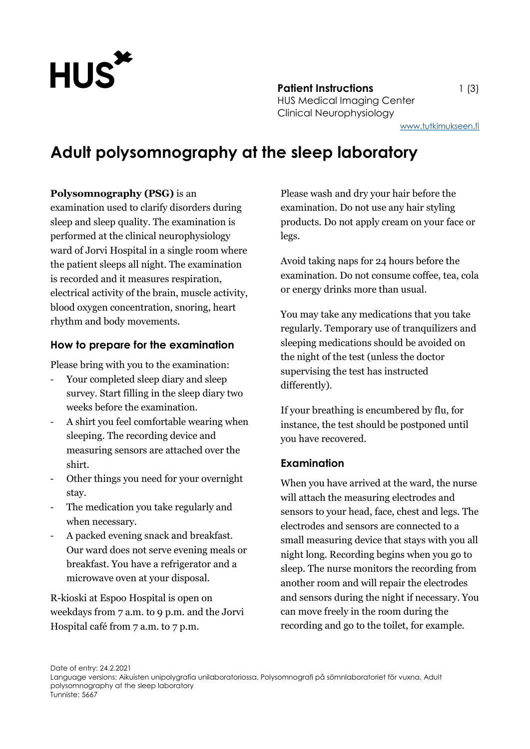

**Patient Instructions** 1 (3) HUS Medical Imaging Center Clinical Neurophysiology

[www.tutkimukseen.fi](http://www.tutkimukseen.fi/)

# **Adult polysomnography at the sleep laboratory**

#### **Polysomnography (PSG)** is an

examination used to clarify disorders during sleep and sleep quality. The examination is performed at the clinical neurophysiology ward of Jorvi Hospital in a single room where the patient sleeps all night. The examination is recorded and it measures respiration, electrical activity of the brain, muscle activity, blood oxygen concentration, snoring, heart rhythm and body movements.

#### **How to prepare for the examination**

Please bring with you to the examination:

- Your completed sleep diary and sleep survey. Start filling in the sleep diary two weeks before the examination.
- A shirt you feel comfortable wearing when sleeping. The recording device and measuring sensors are attached over the shirt.
- Other things you need for your overnight stay.
- The medication you take regularly and when necessary.
- A packed evening snack and breakfast. Our ward does not serve evening meals or breakfast. You have a refrigerator and a microwave oven at your disposal.

R-kioski at Espoo Hospital is open on weekdays from 7 a.m. to 9 p.m. and the Jorvi Hospital café from 7 a.m. to 7 p.m.

Please wash and dry your hair before the examination. Do not use any hair styling products. Do not apply cream on your face or legs.

Avoid taking naps for 24 hours before the examination. Do not consume coffee, tea, cola or energy drinks more than usual.

You may take any medications that you take regularly. Temporary use of tranquilizers and sleeping medications should be avoided on the night of the test (unless the doctor supervising the test has instructed differently).

If your breathing is encumbered by flu, for instance, the test should be postponed until you have recovered.

#### **Examination**

When you have arrived at the ward, the nurse will attach the measuring electrodes and sensors to your head, face, chest and legs. The electrodes and sensors are connected to a small measuring device that stays with you all night long. Recording begins when you go to sleep. The nurse monitors the recording from another room and will repair the electrodes and sensors during the night if necessary. You can move freely in the room during the recording and go to the toilet, for example.

Date of entry: 24.2.2021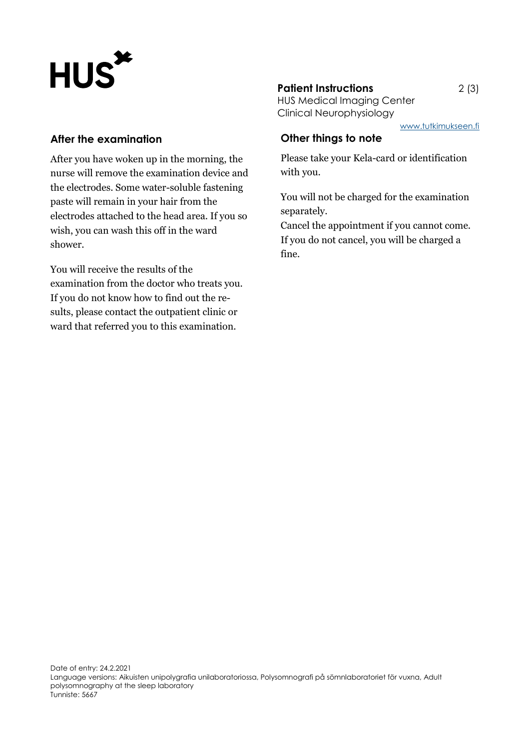# HUS\*

## **After the examination**

After you have woken up in the morning, the nurse will remove the examination device and the electrodes. Some water-soluble fastening paste will remain in your hair from the electrodes attached to the head area. If you so wish, you can wash this off in the ward shower.

You will receive the results of the examination from the doctor who treats you. If you do not know how to find out the results, please contact the outpatient clinic or ward that referred you to this examination.

# **Patient Instructions** 2 (3)

HUS Medical Imaging Center Clinical Neurophysiology

[www.tutkimukseen.fi](http://www.tutkimukseen.fi/)

# **Other things to note**

Please take your Kela-card or identification with you.

You will not be charged for the examination separately.

Cancel the appointment if you cannot come. If you do not cancel, you will be charged a fine.